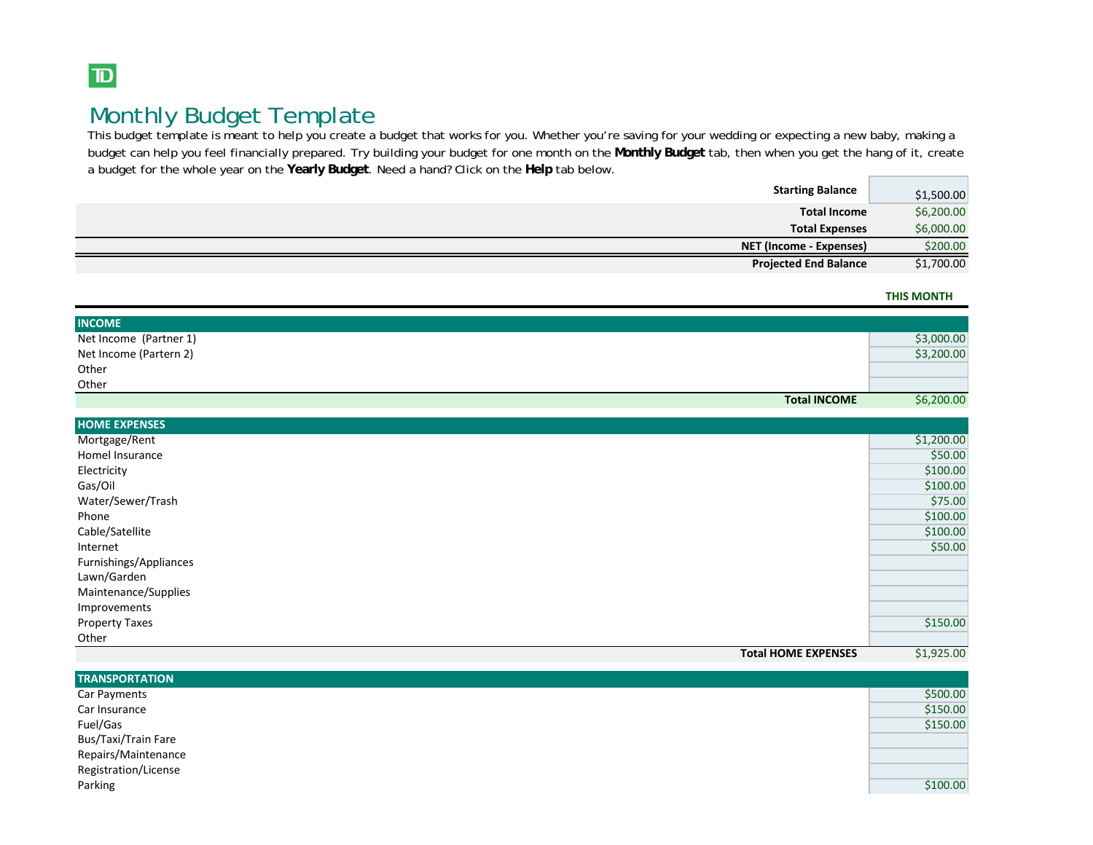## $\boxed{\mathbf{D}}$

# Monthly Budget Template

This budget template is meant to help you create a budget that works for you. Whether you're saving for your wedding or expecting a new baby, making a budget can help you feel financially prepared. Try building your budget for one month on the **Monthly Budget** tab, then when you get the hang of it, create a budget for the whole year on the **Yearly Budget**. Need a hand? Click on the **Help** tab below.

| <b>Starting Balance</b>      | \$1,500.00 |
|------------------------------|------------|
| <b>Total Income</b>          | \$6,200.00 |
| <b>Total Expenses</b>        | \$6,000.00 |
| NET (Income - Expenses)      | \$200.00   |
| <b>Projected End Balance</b> | \$1,700.00 |

**THIS MONTH**

| <b>INCOME</b>          |            |
|------------------------|------------|
| Net Income (Partner 1) | \$3,000.00 |
| Net Income (Partern 2) | \$3,200.00 |
| Other                  |            |
| Other                  |            |
| <b>Total INCOME</b>    | \$6,200.00 |

| <b>HOME EXPENSES</b>       |            |
|----------------------------|------------|
| Mortgage/Rent              | \$1,200.00 |
| Homel Insurance            | \$50.00    |
| Electricity                | \$100.00   |
| Gas/Oil                    | \$100.00   |
| Water/Sewer/Trash          | \$75.00    |
| Phone                      | \$100.00   |
| Cable/Satellite            | \$100.00   |
| Internet                   | \$50.00    |
| Furnishings/Appliances     |            |
| Lawn/Garden                |            |
| Maintenance/Supplies       |            |
| Improvements               |            |
| <b>Property Taxes</b>      | \$150.00   |
| Other                      |            |
| <b>Total HOME EXPENSES</b> | \$1,925.00 |

| <b>TRANSPORTATION</b> |          |
|-----------------------|----------|
| Car Payments          | \$500.00 |
| Car Insurance         | \$150.00 |
| Fuel/Gas              | \$150.00 |
| Bus/Taxi/Train Fare   |          |
| Repairs/Maintenance   |          |
| Registration/License  |          |
| Parking               | \$100.00 |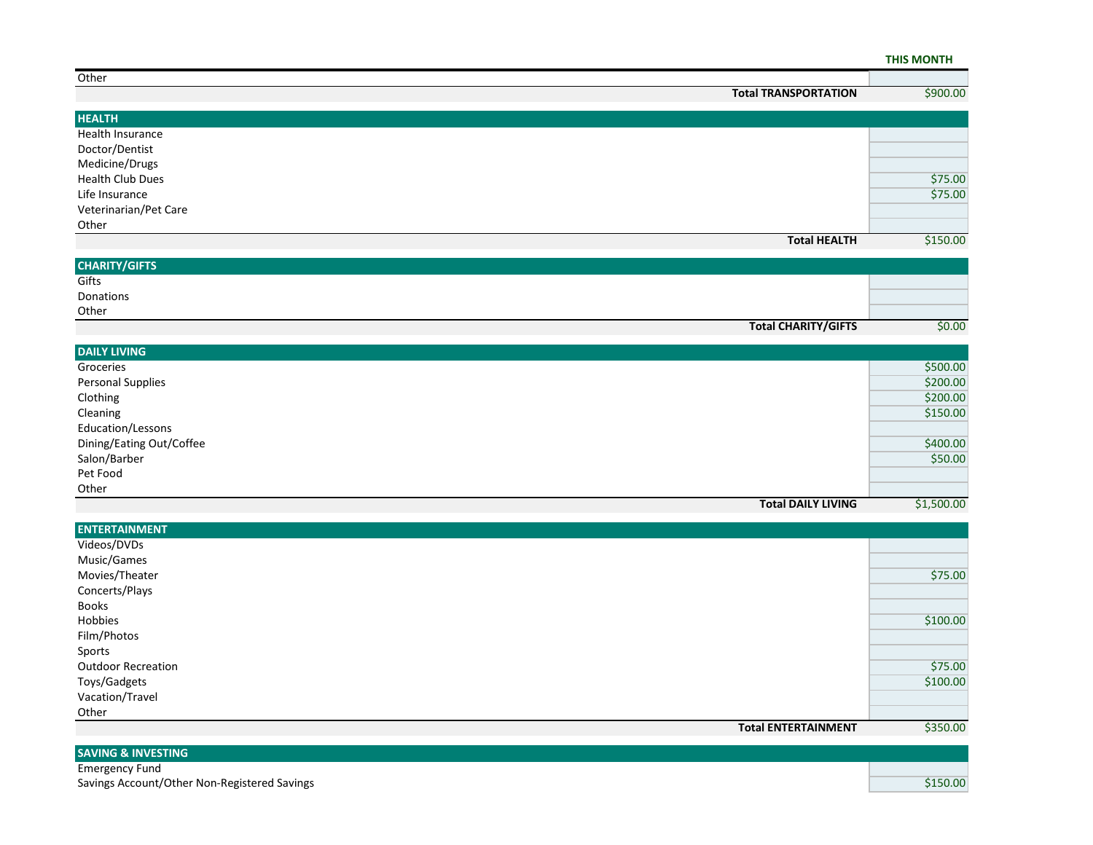#### **THIS MONTH**

| Other                   |                             |          |
|-------------------------|-----------------------------|----------|
|                         | <b>Total TRANSPORTATION</b> | \$900.00 |
|                         |                             |          |
| <b>HEALTH</b>           |                             |          |
| Health Insurance        |                             |          |
| Doctor/Dentist          |                             |          |
| Medicine/Drugs          |                             |          |
| <b>Health Club Dues</b> |                             | \$75.00  |
| Life Insurance          |                             | \$75.00  |
| Veterinarian/Pet Care   |                             |          |
| Other                   |                             |          |
|                         | <b>Total HEALTH</b>         | \$150.00 |

| <b>CHARITY/GIFTS</b>       |        |
|----------------------------|--------|
| Gifts                      |        |
| Donations                  |        |
| Other                      |        |
| <b>Total CHARITY/GIFTS</b> | \$0.00 |

| <b>DAILY LIVING</b>       |            |
|---------------------------|------------|
| Groceries                 | \$500.00   |
| <b>Personal Supplies</b>  | \$200.00   |
| Clothing                  | \$200.00   |
| Cleaning                  | \$150.00   |
| Education/Lessons         |            |
| Dining/Eating Out/Coffee  | \$400.00   |
| Salon/Barber              | \$50.00    |
| Pet Food                  |            |
| Other                     |            |
| <b>Total DAILY LIVING</b> | \$1,500.00 |

| <b>ENTERTAINMENT</b>       |          |
|----------------------------|----------|
| Videos/DVDs                |          |
| Music/Games                |          |
| Movies/Theater             | \$75.00  |
| Concerts/Plays             |          |
| <b>Books</b>               |          |
| Hobbies                    | \$100.00 |
| Film/Photos                |          |
| Sports                     |          |
| <b>Outdoor Recreation</b>  | \$75.00  |
| Toys/Gadgets               | \$100.00 |
| Vacation/Travel            |          |
| Other                      |          |
| <b>Total ENTERTAINMENT</b> | \$350.00 |

| <b>SAVING &amp; INVESTING</b>                |          |
|----------------------------------------------|----------|
| Emergency Fund                               |          |
| Savings Account/Other Non-Registered Savings | \$150.00 |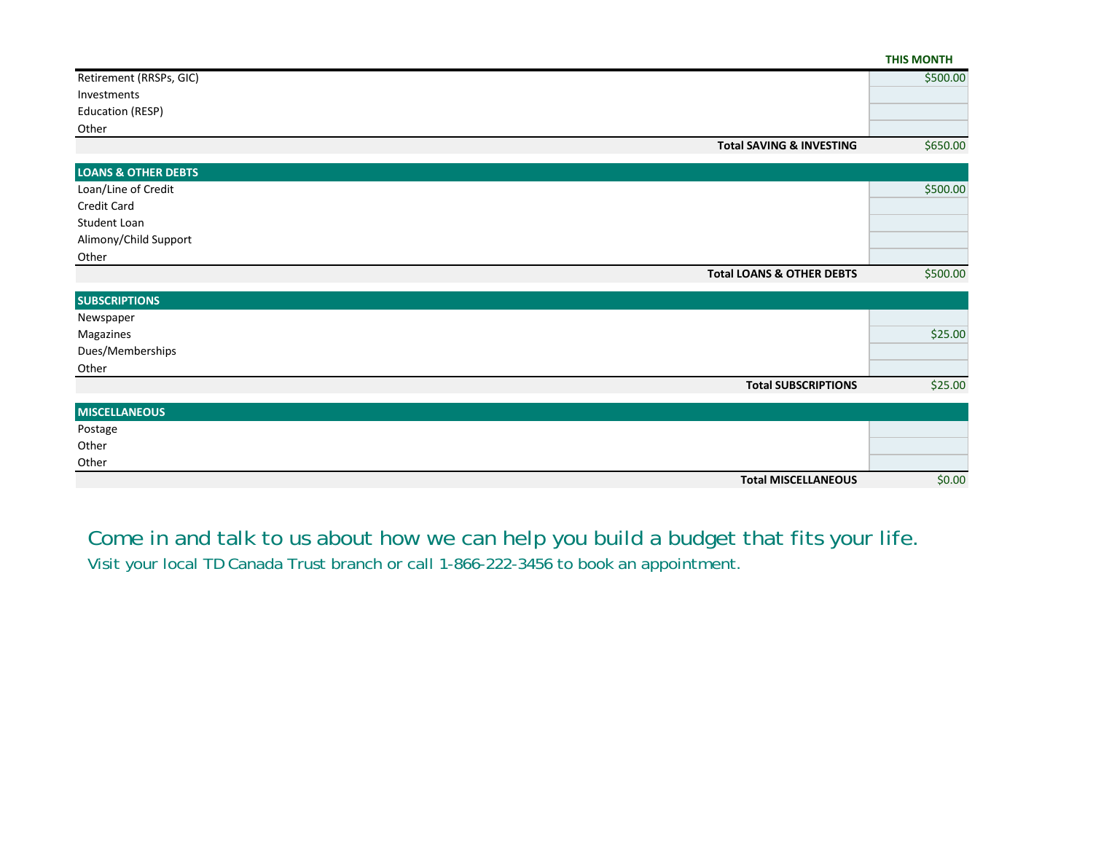|                                |                                      | <b>THIS MONTH</b> |
|--------------------------------|--------------------------------------|-------------------|
| Retirement (RRSPs, GIC)        |                                      | \$500.00          |
| Investments                    |                                      |                   |
| Education (RESP)               |                                      |                   |
| Other                          |                                      |                   |
|                                | <b>Total SAVING &amp; INVESTING</b>  | \$650.00          |
| <b>LOANS &amp; OTHER DEBTS</b> |                                      |                   |
| Loan/Line of Credit            |                                      | \$500.00          |
| Credit Card                    |                                      |                   |
| Student Loan                   |                                      |                   |
| Alimony/Child Support          |                                      |                   |
| Other                          |                                      |                   |
|                                | <b>Total LOANS &amp; OTHER DEBTS</b> | \$500.00          |
| <b>SUBSCRIPTIONS</b>           |                                      |                   |
| Newspaper                      |                                      |                   |
| Magazines                      |                                      | \$25.00           |
| Dues/Memberships               |                                      |                   |
| Other                          |                                      |                   |
|                                | <b>Total SUBSCRIPTIONS</b>           | \$25.00           |
| <b>MISCELLANEOUS</b>           |                                      |                   |
| Postage                        |                                      |                   |
| Other                          |                                      |                   |
| Other                          |                                      |                   |
|                                | <b>Total MISCELLANEOUS</b>           | \$0.00            |

Come in and talk to us about how we can help you build a budget that fits your life. Visit your local TD Canada Trust branch or call 1-866-222-3456 to book an appointment.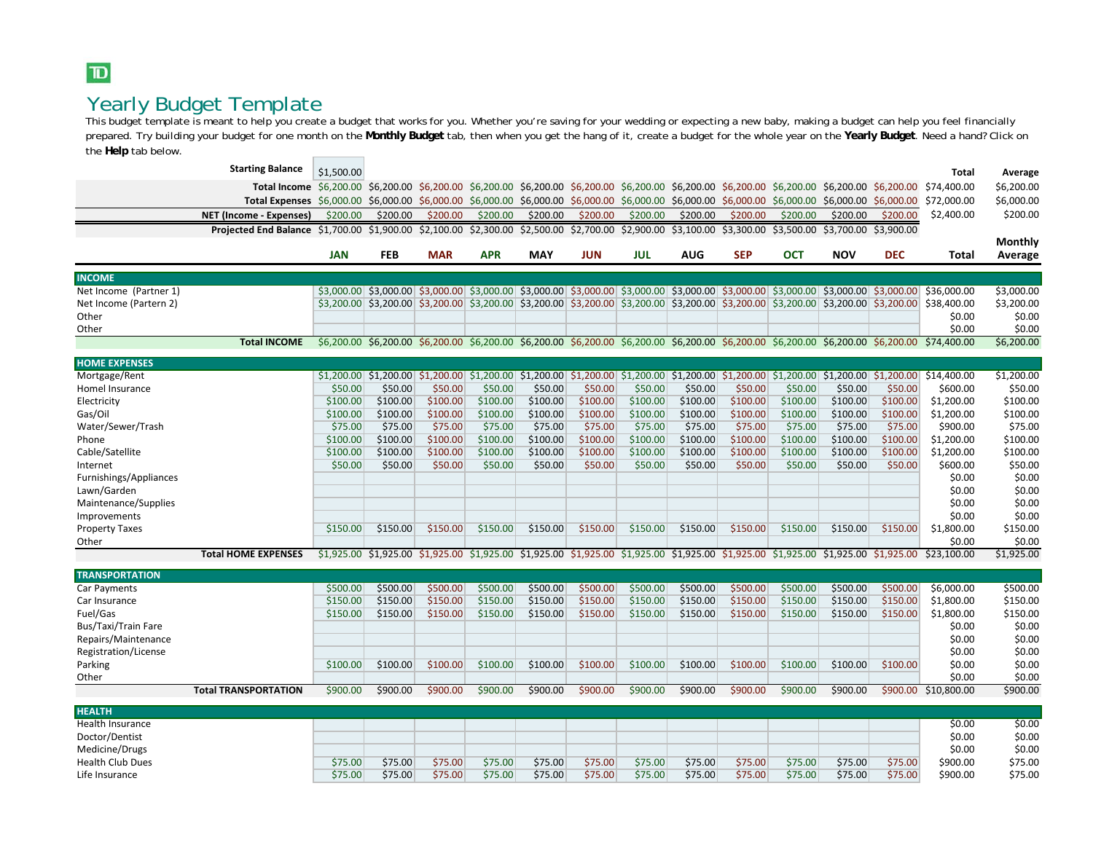### $\mathbf{D}$

### Yearly Budget Template

This budget template is meant to help you create a budget that works for you. Whether you're saving for your wedding or expecting a new baby, making a budget can help you feel financially prepared. Try building your budget for one month on the **Monthly Budget** tab, then when you get the hang of it, create a budget for the whole year on the **Yearly Budget**. Need a hand? Click on the **Help** tab below.

| <b>Starting Balance</b>                                                                                                                                      |            |            |            |            |            |                                  |            |                                                                                                                                     |            |            |            |                       |                                                                                                                                                                         |            |
|--------------------------------------------------------------------------------------------------------------------------------------------------------------|------------|------------|------------|------------|------------|----------------------------------|------------|-------------------------------------------------------------------------------------------------------------------------------------|------------|------------|------------|-----------------------|-------------------------------------------------------------------------------------------------------------------------------------------------------------------------|------------|
|                                                                                                                                                              | \$1,500.00 |            |            |            |            |                                  |            |                                                                                                                                     |            |            |            |                       | <b>Total</b>                                                                                                                                                            | Average    |
| Total Income \$6,200.00 \$6,200.00 \$6,200.00 \$6,200.00 \$6,200.00 \$6,200.00 \$6,200.00 \$6,200.00 \$6,200.00 \$6,200.00 \$6,200.00 \$6,200.00 \$74,400.00 |            |            |            |            |            |                                  |            |                                                                                                                                     |            |            |            |                       |                                                                                                                                                                         | \$6,200.00 |
| Total Expenses \$6,000.00 \$6,000.00 \$6,000.00 \$6,000.00                                                                                                   |            |            |            |            |            |                                  |            | $$6,000.00$ \$6,000.00 \$6,000.00 \$6,000.00 \$6,000.00 \$6,000.00 \$6,000.00 \$6,000.00                                            |            |            |            |                       | \$72,000.00                                                                                                                                                             | \$6,000.00 |
| <b>NET (Income - Expenses)</b>                                                                                                                               | \$200.00   | \$200.00   | \$200.00   | \$200.00   | \$200.00   | \$200.00                         | \$200.00   | \$200.00                                                                                                                            | \$200.00   | \$200.00   | \$200.00   | \$200.00              | \$2,400.00                                                                                                                                                              | \$200.00   |
| Projected End Balance \$1,700.00 \$1,900.00 \$2,100.00 \$2,300.00                                                                                            |            |            |            |            |            | \$2,500.00 \$2,700.00 \$2,900.00 |            | \$3,100.00 \$3,300.00                                                                                                               |            | \$3,500.00 |            | \$3,700.00 \$3,900.00 |                                                                                                                                                                         |            |
|                                                                                                                                                              |            |            |            |            |            |                                  |            |                                                                                                                                     |            |            |            |                       |                                                                                                                                                                         | Monthly    |
|                                                                                                                                                              | <b>JAN</b> | <b>FEB</b> | <b>MAR</b> | <b>APR</b> | <b>MAY</b> | <b>JUN</b>                       | <b>JUL</b> | <b>AUG</b>                                                                                                                          | <b>SEP</b> | <b>OCT</b> | <b>NOV</b> | <b>DEC</b>            | Total                                                                                                                                                                   | Average    |
| <b>INCOME</b>                                                                                                                                                |            |            |            |            |            |                                  |            |                                                                                                                                     |            |            |            |                       |                                                                                                                                                                         |            |
| Net Income (Partner 1)                                                                                                                                       |            |            |            |            |            |                                  |            |                                                                                                                                     |            |            |            |                       | \$3,000.00 \$3,000.00 \$3,000.00 \$3,000.00 \$3,000.00 \$3,000.00 \$3,000.00 \$3,000.00 \$3,000.00 \$3,000.00 \$3,000.00 \$3,000.00 \$36,000.00                         | \$3,000.00 |
| Net Income (Partern 2)                                                                                                                                       |            |            |            |            |            |                                  |            | \$3,200.00 \$3,200.00 \$3,200.00 \$3,200.00 \$3,200.00 \$3,200.00 \$3,200.00 \$3,200.00 \$3,200.00 \$3,200.00 \$3,200.00 \$3,200.00 |            |            |            |                       | \$38,400.00                                                                                                                                                             | \$3,200.00 |
| Other                                                                                                                                                        |            |            |            |            |            |                                  |            |                                                                                                                                     |            |            |            |                       | \$0.00                                                                                                                                                                  | \$0.00     |
| Other                                                                                                                                                        |            |            |            |            |            |                                  |            |                                                                                                                                     |            |            |            |                       | \$0.00                                                                                                                                                                  | \$0.00     |
| <b>Total INCOME</b>                                                                                                                                          |            |            |            |            |            |                                  |            |                                                                                                                                     |            |            |            |                       | \$6,200.00 \$6,200.00 \$6,200.00 \$6,200.00 \$6,200.00 \$6,200.00 \$6,200.00 \$6,200.00 \$6,200.00 \$6,200.00 \$6,200.00 \$74,400.00                                    | \$6,200.00 |
| <b>HOME EXPENSES</b>                                                                                                                                         |            |            |            |            |            |                                  |            |                                                                                                                                     |            |            |            |                       |                                                                                                                                                                         |            |
| Mortgage/Rent                                                                                                                                                |            |            |            |            |            |                                  |            |                                                                                                                                     |            |            |            |                       | $$1,200.00$ $$1,200.00$ $$1,200.00$ $$1,200.00$ $$1,200.00$ $$1,200.00$ $$1,200.00$ $$1,200.00$ $$1,200.00$ $$1,200.00$ $$1,200.00$ $$1,200.00$ $$1,200.00$ $$1,200.00$ | \$1,200.00 |
| Homel Insurance                                                                                                                                              | \$50.00    | \$50.00    | \$50.00    | \$50.00    | \$50.00    | \$50.00                          | \$50.00    | \$50.00                                                                                                                             | \$50.00    | \$50.00    | \$50.00    | \$50.00               | \$600.00                                                                                                                                                                | \$50.00    |
| Electricity                                                                                                                                                  | \$100.00   | \$100.00   | \$100.00   | \$100.00   | \$100.00   | \$100.00                         | \$100.00   | \$100.00                                                                                                                            | \$100.00   | \$100.00   | \$100.00   | \$100.00              | \$1,200.00                                                                                                                                                              | \$100.00   |
| Gas/Oil                                                                                                                                                      | \$100.00   | \$100.00   | \$100.00   | \$100.00   | \$100.00   | \$100.00                         | \$100.00   | \$100.00                                                                                                                            | \$100.00   | \$100.00   | \$100.00   | \$100.00              | \$1,200.00                                                                                                                                                              | \$100.00   |
| Water/Sewer/Trash                                                                                                                                            | \$75.00    | \$75.00    | \$75.00    | \$75.00    | \$75.00    | \$75.00                          | \$75.00    | \$75.00                                                                                                                             | \$75.00    | \$75.00    | \$75.00    | \$75.00               | \$900.00                                                                                                                                                                | \$75.00    |
| Phone                                                                                                                                                        | \$100.00   | \$100.00   | \$100.00   | \$100.00   | \$100.00   | \$100.00                         | \$100.00   | \$100.00                                                                                                                            | \$100.00   | \$100.00   | \$100.00   | \$100.00              | \$1,200.00                                                                                                                                                              | \$100.00   |
| Cable/Satellite                                                                                                                                              | \$100.00   | \$100.00   | \$100.00   | \$100.00   | \$100.00   | \$100.00                         | \$100.00   | \$100.00                                                                                                                            | \$100.00   | \$100.00   | \$100.00   | \$100.00              | \$1,200.00                                                                                                                                                              | \$100.00   |
| Internet                                                                                                                                                     | \$50.00    | \$50.00    | \$50.00    | \$50.00    | \$50.00    | \$50.00                          | \$50.00    | \$50.00                                                                                                                             | \$50.00    | \$50.00    | \$50.00    | \$50.00               | \$600.00                                                                                                                                                                | \$50.00    |
| Furnishings/Appliances                                                                                                                                       |            |            |            |            |            |                                  |            |                                                                                                                                     |            |            |            |                       | \$0.00                                                                                                                                                                  | \$0.00     |
| Lawn/Garden                                                                                                                                                  |            |            |            |            |            |                                  |            |                                                                                                                                     |            |            |            |                       | \$0.00                                                                                                                                                                  | \$0.00     |
| Maintenance/Supplies                                                                                                                                         |            |            |            |            |            |                                  |            |                                                                                                                                     |            |            |            |                       | \$0.00                                                                                                                                                                  | \$0.00     |
| Improvements                                                                                                                                                 |            |            |            |            |            |                                  |            |                                                                                                                                     |            |            |            |                       | \$0.00                                                                                                                                                                  | \$0.00     |
| <b>Property Taxes</b>                                                                                                                                        | \$150.00   | \$150.00   | \$150.00   | \$150.00   | \$150.00   | \$150.00                         | \$150.00   | \$150.00                                                                                                                            | \$150.00   | \$150.00   | \$150.00   | \$150.00              | \$1,800.00                                                                                                                                                              | \$150.00   |
| Other                                                                                                                                                        |            |            |            |            |            |                                  |            |                                                                                                                                     |            |            |            |                       | \$0.00                                                                                                                                                                  | \$0.00     |
| <b>Total HOME EXPENSES</b>                                                                                                                                   |            |            |            |            |            |                                  |            |                                                                                                                                     |            |            |            |                       | \$1,925.00 \$1,925.00 \$1,925.00 \$1,925.00 \$1,925.00 \$1,925.00 \$1,925.00 \$1,925.00 \$1,925.00 \$1,925.00 \$1,925.00 \$23,100.00                                    | \$1,925.00 |
| <b>TRANSPORTATION</b>                                                                                                                                        |            |            |            |            |            |                                  |            |                                                                                                                                     |            |            |            |                       |                                                                                                                                                                         |            |
| Car Payments                                                                                                                                                 | \$500.00   | \$500.00   | \$500.00   | \$500.00   | \$500.00   | \$500.00                         | \$500.00   | \$500.00                                                                                                                            | \$500.00   | \$500.00   | \$500.00   | \$500.00              | \$6,000.00                                                                                                                                                              | \$500.00   |
| Car Insurance                                                                                                                                                | \$150.00   | \$150.00   | \$150.00   | \$150.00   | \$150.00   | \$150.00                         | \$150.00   | \$150.00                                                                                                                            | \$150.00   | \$150.00   | \$150.00   | \$150.00              | \$1,800.00                                                                                                                                                              | \$150.00   |
| Fuel/Gas                                                                                                                                                     | \$150.00   | \$150.00   | \$150.00   | \$150.00   | \$150.00   | \$150.00                         | \$150.00   | \$150.00                                                                                                                            | \$150.00   | \$150.00   | \$150.00   | \$150.00              | \$1,800.00                                                                                                                                                              | \$150.00   |
| Bus/Taxi/Train Fare                                                                                                                                          |            |            |            |            |            |                                  |            |                                                                                                                                     |            |            |            |                       | \$0.00                                                                                                                                                                  | \$0.00     |
| Repairs/Maintenance                                                                                                                                          |            |            |            |            |            |                                  |            |                                                                                                                                     |            |            |            |                       | \$0.00                                                                                                                                                                  | \$0.00     |
| Registration/License                                                                                                                                         |            |            |            |            |            |                                  |            |                                                                                                                                     |            |            |            |                       | \$0.00                                                                                                                                                                  | \$0.00     |
| Parking                                                                                                                                                      | \$100.00   | \$100.00   | \$100.00   | \$100.00   | \$100.00   | \$100.00                         | \$100.00   | \$100.00                                                                                                                            | \$100.00   | \$100.00   | \$100.00   | \$100.00              | \$0.00                                                                                                                                                                  | \$0.00     |
| Other                                                                                                                                                        |            |            |            |            |            |                                  |            |                                                                                                                                     |            |            |            |                       | \$0.00                                                                                                                                                                  | \$0.00     |
| <b>Total TRANSPORTATION</b>                                                                                                                                  | \$900.00   | \$900.00   | \$900.00   | \$900.00   | \$900.00   | \$900.00                         | \$900.00   | \$900.00                                                                                                                            | \$900.00   | \$900.00   | \$900.00   |                       | \$900.00 \$10,800.00                                                                                                                                                    | \$900.00   |
| <b>HEALTH</b>                                                                                                                                                |            |            |            |            |            |                                  |            |                                                                                                                                     |            |            |            |                       |                                                                                                                                                                         |            |
| <b>Health Insurance</b>                                                                                                                                      |            |            |            |            |            |                                  |            |                                                                                                                                     |            |            |            |                       | \$0.00                                                                                                                                                                  | \$0.00     |
| Doctor/Dentist                                                                                                                                               |            |            |            |            |            |                                  |            |                                                                                                                                     |            |            |            |                       | \$0.00                                                                                                                                                                  | \$0.00     |
| Medicine/Drugs                                                                                                                                               |            |            |            |            |            |                                  |            |                                                                                                                                     |            |            |            |                       | \$0.00                                                                                                                                                                  | \$0.00     |
| <b>Health Club Dues</b>                                                                                                                                      | \$75.00    | \$75.00    | \$75.00    | \$75.00    | \$75.00    | \$75.00                          | \$75.00    | \$75.00                                                                                                                             | \$75.00    | \$75.00    | \$75.00    | \$75.00               | \$900.00                                                                                                                                                                | \$75.00    |
| Life Insurance                                                                                                                                               | \$75.00    | \$75.00    | \$75.00    | \$75.00    | \$75.00    | \$75.00                          | \$75.00    | \$75.00                                                                                                                             | \$75.00    | \$75.00    | \$75.00    | \$75.00               | \$900.00                                                                                                                                                                | \$75.00    |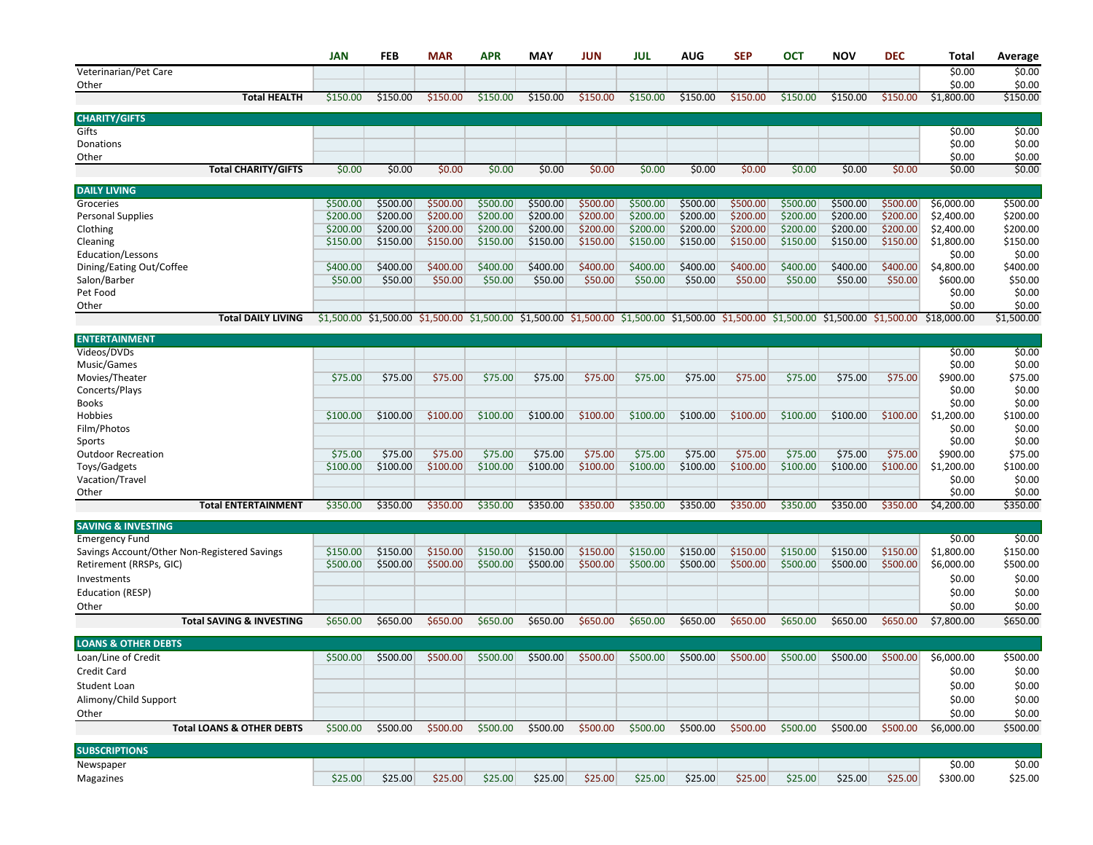|                                              | <b>JAN</b>           | <b>FEB</b>           | <b>MAR</b>           | <b>APR</b>           | <b>MAY</b>           | <b>JUN</b>           | <b>JUL</b>           | <b>AUG</b>                                                                                                                          | <b>SEP</b>           | <b>OCT</b>           | <b>NOV</b>           | <b>DEC</b>           | Total                    | Average              |
|----------------------------------------------|----------------------|----------------------|----------------------|----------------------|----------------------|----------------------|----------------------|-------------------------------------------------------------------------------------------------------------------------------------|----------------------|----------------------|----------------------|----------------------|--------------------------|----------------------|
| Veterinarian/Pet Care                        |                      |                      |                      |                      |                      |                      |                      |                                                                                                                                     |                      |                      |                      |                      | \$0.00                   | \$0.00               |
| Other                                        |                      |                      |                      |                      |                      |                      |                      |                                                                                                                                     |                      |                      |                      |                      | \$0.00                   | \$0.00               |
| <b>Total HEALTH</b>                          | \$150.00             | \$150.00             | \$150.00             | \$150.00             | \$150.00             | \$150.00             | \$150.00             | \$150.00                                                                                                                            | \$150.00             | \$150.00             | \$150.00             | \$150.00             | \$1,800.00               | \$150.00             |
| <b>CHARITY/GIFTS</b>                         |                      |                      |                      |                      |                      |                      |                      |                                                                                                                                     |                      |                      |                      |                      |                          |                      |
| Gifts                                        |                      |                      |                      |                      |                      |                      |                      |                                                                                                                                     |                      |                      |                      |                      | \$0.00                   | \$0.00               |
| Donations                                    |                      |                      |                      |                      |                      |                      |                      |                                                                                                                                     |                      |                      |                      |                      | \$0.00                   | \$0.00               |
| Other                                        |                      |                      |                      |                      |                      |                      |                      |                                                                                                                                     |                      |                      |                      |                      | \$0.00                   | \$0.00               |
| <b>Total CHARITY/GIFTS</b>                   | \$0.00               | \$0.00               | \$0.00               | \$0.00               | \$0.00               | \$0.00               | \$0.00               | \$0.00                                                                                                                              | \$0.00               | \$0.00               | \$0.00               | \$0.00               | \$0.00                   | \$0.00               |
| <b>DAILY LIVING</b>                          |                      |                      |                      |                      |                      |                      |                      |                                                                                                                                     |                      |                      |                      |                      |                          |                      |
| Groceries                                    | \$500.00             | \$500.00             | \$500.00             | \$500.00             | \$500.00             | \$500.00             | \$500.00             | \$500.00                                                                                                                            | \$500.00             | \$500.00             | \$500.00             | \$500.00             | \$6,000.00               | \$500.00             |
| <b>Personal Supplies</b>                     | \$200.00             | \$200.00             | \$200.00             | \$200.00             | \$200.00             | \$200.00             | \$200.00             | \$200.00                                                                                                                            | \$200.00             | \$200.00             | \$200.00             | \$200.00             | \$2,400.00               | \$200.00             |
| Clothing                                     | \$200.00<br>\$150.00 | \$200.00<br>\$150.00 | \$200.00<br>\$150.00 | \$200.00<br>\$150.00 | \$200.00<br>\$150.00 | \$200.00<br>\$150.00 | \$200.00<br>\$150.00 | \$200.00<br>\$150.00                                                                                                                | \$200.00<br>\$150.00 | \$200.00<br>\$150.00 | \$200.00<br>\$150.00 | \$200.00<br>\$150.00 | \$2,400.00<br>\$1,800.00 | \$200.00<br>\$150.00 |
| Cleaning<br>Education/Lessons                |                      |                      |                      |                      |                      |                      |                      |                                                                                                                                     |                      |                      |                      |                      | \$0.00                   | \$0.00               |
| Dining/Eating Out/Coffee                     | \$400.00             | \$400.00             | \$400.00             | \$400.00             | \$400.00             | \$400.00             | \$400.00             | \$400.00                                                                                                                            | \$400.00             | \$400.00             | \$400.00             | \$400.00             | \$4,800.00               | \$400.00             |
| Salon/Barber                                 | \$50.00              | \$50.00              | \$50.00              | \$50.00              | \$50.00              | \$50.00              | \$50.00              | \$50.00                                                                                                                             | \$50.00              | \$50.00              | \$50.00              | \$50.00              | \$600.00                 | \$50.00              |
| Pet Food                                     |                      |                      |                      |                      |                      |                      |                      |                                                                                                                                     |                      |                      |                      |                      | \$0.00                   | \$0.00               |
| Other                                        |                      |                      |                      |                      |                      |                      |                      |                                                                                                                                     |                      |                      |                      |                      | \$0.00                   | \$0.00               |
| <b>Total DAILY LIVING</b>                    |                      |                      |                      |                      |                      |                      |                      | \$1,500.00 \$1,500.00 \$1,500.00 \$1,500.00 \$1,500.00 \$1,500.00 \$1,500.00 \$1,500.00 \$1,500.00 \$1,500.00 \$1,500.00 \$1,500.00 |                      |                      |                      |                      | \$18,000.00              | \$1,500.00           |
| <b>ENTERTAINMENT</b>                         |                      |                      |                      |                      |                      |                      |                      |                                                                                                                                     |                      |                      |                      |                      |                          |                      |
| Videos/DVDs                                  |                      |                      |                      |                      |                      |                      |                      |                                                                                                                                     |                      |                      |                      |                      | \$0.00                   | \$0.00               |
| Music/Games                                  |                      |                      |                      |                      |                      |                      |                      |                                                                                                                                     |                      |                      |                      |                      | \$0.00                   | \$0.00               |
| Movies/Theater                               | \$75.00              | \$75.00              | \$75.00              | \$75.00              | \$75.00              | \$75.00              | \$75.00              | \$75.00                                                                                                                             | \$75.00              | \$75.00              | \$75.00              | \$75.00              | \$900.00                 | \$75.00              |
| Concerts/Plays                               |                      |                      |                      |                      |                      |                      |                      |                                                                                                                                     |                      |                      |                      |                      | \$0.00                   | \$0.00               |
| <b>Books</b>                                 |                      |                      |                      |                      |                      |                      |                      |                                                                                                                                     |                      |                      |                      |                      | \$0.00                   | \$0.00               |
| Hobbies                                      | \$100.00             | \$100.00             | \$100.00             | \$100.00             | \$100.00             | \$100.00             | \$100.00             | \$100.00                                                                                                                            | \$100.00             | \$100.00             | \$100.00             | \$100.00             | \$1,200.00               | \$100.00             |
| Film/Photos<br>Sports                        |                      |                      |                      |                      |                      |                      |                      |                                                                                                                                     |                      |                      |                      |                      | \$0.00<br>\$0.00         | \$0.00<br>\$0.00     |
| <b>Outdoor Recreation</b>                    | \$75.00              | \$75.00              | \$75.00              | \$75.00              | \$75.00              | \$75.00              | \$75.00              | \$75.00                                                                                                                             | \$75.00              | \$75.00              | \$75.00              | \$75.00              | \$900.00                 | \$75.00              |
| Toys/Gadgets                                 | \$100.00             | \$100.00             | \$100.00             | \$100.00             | \$100.00             | \$100.00             | \$100.00             | \$100.00                                                                                                                            | \$100.00             | \$100.00             | \$100.00             | \$100.00             | \$1,200.00               | \$100.00             |
| Vacation/Travel                              |                      |                      |                      |                      |                      |                      |                      |                                                                                                                                     |                      |                      |                      |                      | \$0.00                   | \$0.00               |
| Other                                        |                      |                      |                      |                      |                      |                      |                      |                                                                                                                                     |                      |                      |                      |                      | \$0.00                   | \$0.00               |
| <b>Total ENTERTAINMENT</b>                   | \$350.00             | \$350.00             | \$350.00             | \$350.00             | \$350.00             | \$350.00             | \$350.00             | \$350.00                                                                                                                            | \$350.00             | \$350.00             | \$350.00             | \$350.00             | \$4,200.00               | \$350.00             |
| <b>SAVING &amp; INVESTING</b>                |                      |                      |                      |                      |                      |                      |                      |                                                                                                                                     |                      |                      |                      |                      |                          |                      |
| <b>Emergency Fund</b>                        |                      |                      |                      |                      |                      |                      |                      |                                                                                                                                     |                      |                      |                      |                      | \$0.00                   | \$0.00               |
| Savings Account/Other Non-Registered Savings | \$150.00             | \$150.00             | \$150.00             | \$150.00             | \$150.00             | \$150.00             | \$150.00             | \$150.00                                                                                                                            | \$150.00             | \$150.00             | \$150.00             | \$150.00             | \$1,800.00               | \$150.00             |
| Retirement (RRSPs, GIC)                      | \$500.00             | \$500.00             | \$500.00             | \$500.00             | \$500.00             | \$500.00             | \$500.00             | \$500.00                                                                                                                            | \$500.00             | \$500.00             | \$500.00             | \$500.00             | \$6,000.00               | \$500.00             |
| Investments                                  |                      |                      |                      |                      |                      |                      |                      |                                                                                                                                     |                      |                      |                      |                      | \$0.00                   | \$0.00               |
| <b>Education (RESP)</b>                      |                      |                      |                      |                      |                      |                      |                      |                                                                                                                                     |                      |                      |                      |                      | \$0.00                   | \$0.00               |
| Other                                        |                      |                      |                      |                      |                      |                      |                      |                                                                                                                                     |                      |                      |                      |                      | \$0.00                   | \$0.00               |
| <b>Total SAVING &amp; INVESTING</b>          | \$650.00             | \$650.00             | \$650.00             | \$650.00             | \$650.00             | \$650.00             | \$650.00             | \$650.00                                                                                                                            | \$650.00             | \$650.00             | \$650.00             | \$650.00             | \$7,800.00               | \$650.00             |
| <b>LOANS &amp; OTHER DEBTS</b>               |                      |                      |                      |                      |                      |                      |                      |                                                                                                                                     |                      |                      |                      |                      |                          |                      |
| Loan/Line of Credit                          | \$500.00             | \$500.00             | \$500.00             | \$500.00             | \$500.00             | \$500.00             | \$500.00             | \$500.00                                                                                                                            | \$500.00             | \$500.00             | \$500.00             | \$500.00             | \$6,000.00               | \$500.00             |
| Credit Card                                  |                      |                      |                      |                      |                      |                      |                      |                                                                                                                                     |                      |                      |                      |                      | \$0.00                   | \$0.00               |
| Student Loan                                 |                      |                      |                      |                      |                      |                      |                      |                                                                                                                                     |                      |                      |                      |                      | \$0.00                   | \$0.00               |
| Alimony/Child Support                        |                      |                      |                      |                      |                      |                      |                      |                                                                                                                                     |                      |                      |                      |                      | \$0.00                   | \$0.00               |
| Other                                        |                      |                      |                      |                      |                      |                      |                      |                                                                                                                                     |                      |                      |                      |                      | \$0.00                   | \$0.00               |
| <b>Total LOANS &amp; OTHER DEBTS</b>         | \$500.00             | \$500.00             | \$500.00             | \$500.00             | \$500.00             | \$500.00             | \$500.00             | \$500.00                                                                                                                            | \$500.00             | \$500.00             | \$500.00             | \$500.00             | \$6,000.00               | \$500.00             |
|                                              |                      |                      |                      |                      |                      |                      |                      |                                                                                                                                     |                      |                      |                      |                      |                          |                      |
| <b>SUBSCRIPTIONS</b>                         |                      |                      |                      |                      |                      |                      |                      |                                                                                                                                     |                      |                      |                      |                      |                          |                      |
| Newspaper                                    |                      |                      |                      |                      |                      |                      |                      |                                                                                                                                     |                      |                      |                      |                      | \$0.00                   | \$0.00               |
| Magazines                                    | \$25.00              | \$25.00              | \$25.00              | \$25.00              | \$25.00              | \$25.00              | \$25.00              | \$25.00                                                                                                                             | \$25.00              | \$25.00              | \$25.00              | \$25.00              | \$300.00                 | \$25.00              |